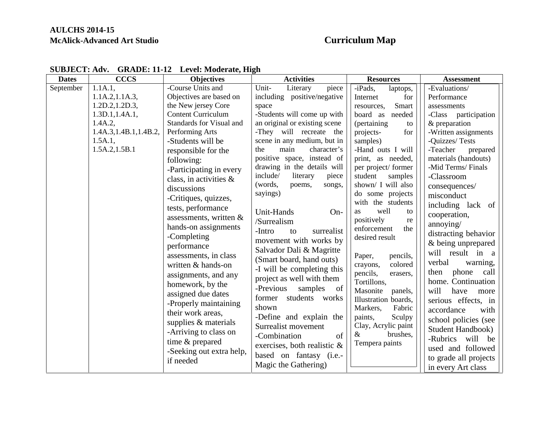## **AULCHS 2014-15 McAlick-Advanced Art Studio Curriculum Map**

| <b>Dates</b> | <b>CCCS</b>             | <b>Objectives</b>         | <b>Activities</b>              | <b>Resources</b>     | <b>Assessment</b>         |
|--------------|-------------------------|---------------------------|--------------------------------|----------------------|---------------------------|
| September    | 1.1A.1,                 | -Course Units and         | Unit-<br>Literary<br>piece     | -iPads,<br>laptops,  | -Evaluations/             |
|              | 1.1A.2, 1.1A.3,         | Objectives are based on   | including positive/negative    | for<br>Internet      | Performance               |
|              | 1.2D.2, 1.2D.3,         | the New jersey Core       | space                          | Smart<br>resources.  | assessments               |
|              | 1.3D.1, 1.4A.1,         | <b>Content Curriculum</b> | -Students will come up with    | board as<br>needed   | -Class<br>participation   |
|              | 1.4A.2,                 | Standards for Visual and  | an original or existing scene  | (pertaining)<br>to   | & preparation             |
|              | 1.4A.3, 1.4B.1, 1.4B.2, | Performing Arts           | -They will recreate the        | for<br>projects-     | -Written assignments      |
|              | 1.5A.1,                 | -Students will be         | scene in any medium, but in    | samples)             | -Quizzes/Tests            |
|              | 1.5A.2,1.5B.1           | responsible for the       | main<br>character's<br>the     | -Hand outs I will    | -Teacher<br>prepared      |
|              |                         | following:                | positive space, instead of     | print, as needed,    | materials (handouts)      |
|              |                         | -Participating in every   | drawing in the details will    | per project/former   | -Mid Terms/Finals         |
|              |                         | class, in activities $\&$ | include/<br>literary<br>piece  | student<br>samples   | -Classroom                |
|              |                         | discussions               | (words,<br>poems,<br>songs,    | shown/ I will also   | consequences/             |
|              |                         | -Critiques, quizzes,      | sayings)                       | do some projects     | misconduct                |
|              |                         | tests, performance        |                                | with the students    | including lack of         |
|              |                         |                           | Unit-Hands<br>$On-$            | well<br>as<br>to     | cooperation,              |
|              |                         | assessments, written $\&$ | /Surrealism                    | positively<br>re     | annoying/                 |
|              |                         | hands-on assignments      | -Intro<br>surrealist<br>to     | enforcement<br>the   | distracting behavior      |
|              |                         | -Completing               | movement with works by         | desired result       | & being unprepared        |
|              |                         | performance               | Salvador Dali & Magritte       |                      | will result in a          |
|              |                         | assessments, in class     | (Smart board, hand outs)       | Paper,<br>pencils,   |                           |
|              |                         | written & hands-on        | -I will be completing this     | colored<br>crayons,  | verbal<br>warning,        |
|              |                         | assignments, and any      | project as well with them      | pencils,<br>erasers, | phone<br>call<br>then     |
|              |                         | homework, by the          |                                | Tortillons,          | home. Continuation        |
|              |                         | assigned due dates        | -Previous<br>samples<br>of     | Masonite<br>panels,  | will<br>have<br>more      |
|              |                         | -Properly maintaining     | former students works          | Illustration boards, | serious effects, in       |
|              |                         | their work areas,         | shown                          | Markers,<br>Fabric   | accordance<br>with        |
|              |                         | supplies & materials      | -Define and explain the        | paints,<br>Sculpy    | school policies (see      |
|              |                         |                           | Surrealist movement            | Clay, Acrylic paint  | <b>Student Handbook</b> ) |
|              |                         | -Arriving to class on     | -Combination<br>of             | brushes,<br>&        | -Rubrics<br>will<br>be    |
|              |                         | time & prepared           | exercises, both realistic $\&$ | Tempera paints       | used and followed         |
|              |                         | -Seeking out extra help,  | based on fantasy (i.e.-        |                      | to grade all projects     |
|              |                         | if needed                 | Magic the Gathering)           |                      |                           |
|              |                         |                           |                                |                      | in every Art class        |

## **SUBJECT: Adv. GRADE: 11-12 Level: Moderate, High**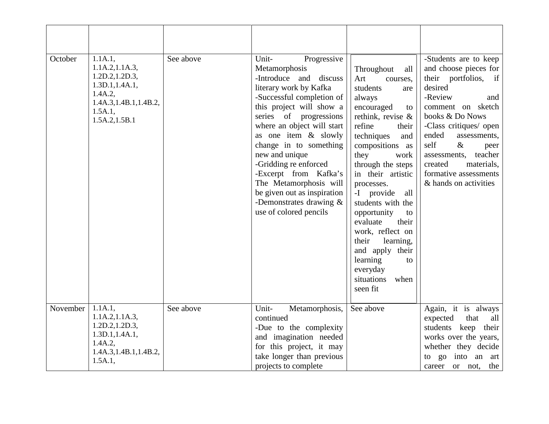| October  | 1.1A.1,<br>1.1A.2, 1.1A.3,<br>1.2D.2, 1.2D.3,<br>1.3D.1, 1.4A.1,<br>$1.4A.2$ ,<br>1.4A.3, 1.4B.1, 1.4B.2,<br>1.5A.1,<br>1.5A.2, 1.5B.1 | See above | Unit-<br>Progressive<br>Metamorphosis<br>-Introduce and discuss<br>literary work by Kafka<br>-Successful completion of<br>this project will show a<br>series of progressions<br>where an object will start<br>as one item & slowly<br>change in to something<br>new and unique<br>-Gridding re enforced<br>-Excerpt from Kafka's<br>The Metamorphosis will<br>be given out as inspiration<br>-Demonstrates drawing &<br>use of colored pencils | Throughout<br>all<br>Art<br>courses,<br>students<br>are<br>always<br>encouraged<br>to<br>rethink, revise $\&$<br>refine<br>their<br>techniques<br>and<br>compositions as<br>they<br>work<br>through the steps<br>in their artistic<br>processes.<br>-I provide<br>all<br>students with the<br>opportunity<br>to<br>evaluate<br>their<br>work, reflect on<br>their<br>learning,<br>and apply their<br>learning<br>to<br>everyday<br>situations<br>when<br>seen fit | -Students are to keep<br>and choose pieces for<br>their portfolios, if<br>desired<br>-Review<br>and<br>comment on sketch<br>books & Do Nows<br>-Class critiques/ open<br>ended<br>assessments,<br>self<br>$\&$<br>peer<br>teacher<br>assessments,<br>materials,<br>created<br>formative assessments<br>& hands on activities |
|----------|----------------------------------------------------------------------------------------------------------------------------------------|-----------|------------------------------------------------------------------------------------------------------------------------------------------------------------------------------------------------------------------------------------------------------------------------------------------------------------------------------------------------------------------------------------------------------------------------------------------------|-------------------------------------------------------------------------------------------------------------------------------------------------------------------------------------------------------------------------------------------------------------------------------------------------------------------------------------------------------------------------------------------------------------------------------------------------------------------|------------------------------------------------------------------------------------------------------------------------------------------------------------------------------------------------------------------------------------------------------------------------------------------------------------------------------|
| November | 1.1A.1,<br>1.1A.2, 1.1A.3,<br>1.2D.2, 1.2D.3,<br>1.3D.1, 1.4A.1,<br>1.4A.2,<br>1.4A.3, 1.4B.1, 1.4B.2,<br>1.5A.1,                      | See above | Unit-<br>Metamorphosis,<br>continued<br>-Due to the complexity<br>and imagination needed<br>for this project, it may<br>take longer than previous<br>projects to complete                                                                                                                                                                                                                                                                      | See above                                                                                                                                                                                                                                                                                                                                                                                                                                                         | Again, it is always<br>expected<br>that<br>all<br>students keep<br>their<br>works over the years,<br>whether they decide<br>into an art<br>to go<br>the<br>career<br>or not,                                                                                                                                                 |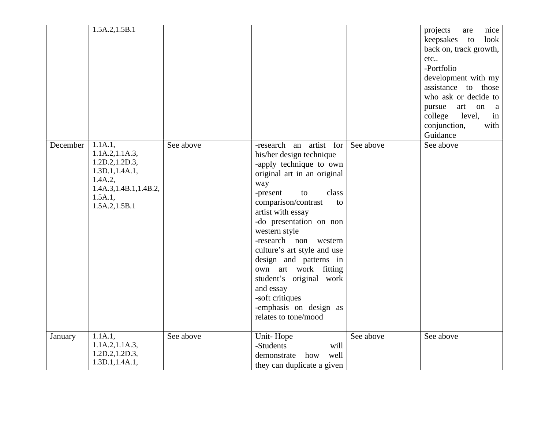|          | 1.5A.2, 1.5B.1                                                                                                                         |           |                                                                                                                                                                                                                                                                                                                                                                                                                                                                      |           | nice<br>projects<br>are<br>keepsakes to<br>look<br>back on, track growth,<br>etc<br>-Portfolio<br>development with my<br>assistance to those<br>who ask or decide to<br>pursue<br>art on<br><sub>a</sub><br>level,<br>college<br>in<br>conjunction,<br>with<br>Guidance |
|----------|----------------------------------------------------------------------------------------------------------------------------------------|-----------|----------------------------------------------------------------------------------------------------------------------------------------------------------------------------------------------------------------------------------------------------------------------------------------------------------------------------------------------------------------------------------------------------------------------------------------------------------------------|-----------|-------------------------------------------------------------------------------------------------------------------------------------------------------------------------------------------------------------------------------------------------------------------------|
| December | 1.1A.1,<br>1.1A.2, 1.1A.3,<br>1.2D.2, 1.2D.3,<br>1.3D.1, 1.4A.1,<br>$1.4A.2$ ,<br>1.4A.3, 1.4B.1, 1.4B.2,<br>1.5A.1,<br>1.5A.2, 1.5B.1 | See above | -research an artist for<br>his/her design technique<br>-apply technique to own<br>original art in an original<br>way<br>class<br>-present<br>to<br>comparison/contrast<br>to<br>artist with essay<br>-do presentation on non<br>western style<br>-research non western<br>culture's art style and use<br>design and patterns in<br>own art work fitting<br>student's original work<br>and essay<br>-soft critiques<br>-emphasis on design as<br>relates to tone/mood | See above | See above                                                                                                                                                                                                                                                               |
| January  | 1.1A.1,<br>1.1A.2, 1.1A.3,<br>1.2D.2, 1.2D.3,<br>1.3D.1, 1.4A.1,                                                                       | See above | Unit-Hope<br>-Students<br>will<br>demonstrate<br>well<br>how<br>they can duplicate a given                                                                                                                                                                                                                                                                                                                                                                           | See above | See above                                                                                                                                                                                                                                                               |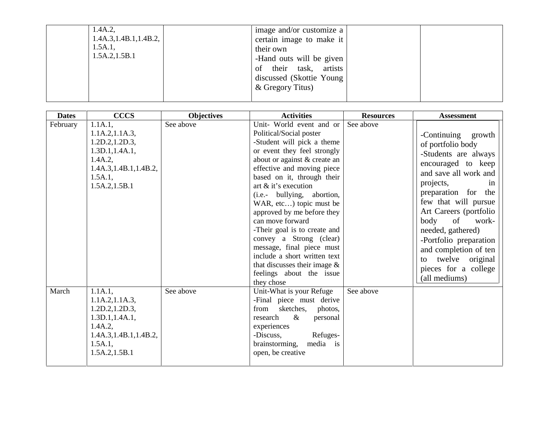| $1.4A.2$ ,<br>1.4A.3, 1.4B.1, 1.4B.2,<br>$1.5A.1$ ,<br>1.5A.2, 1.5B.1 | image and/or customize a<br>certain image to make it<br>their own<br>-Hand outs will be given<br>their task, artists<br>οf<br>discussed (Skottie Young)<br>& Gregory Titus) |  |
|-----------------------------------------------------------------------|-----------------------------------------------------------------------------------------------------------------------------------------------------------------------------|--|
|                                                                       |                                                                                                                                                                             |  |

| <b>Dates</b> | <b>CCCS</b>                                                                                                                           | <b>Objectives</b> | <b>Activities</b>                                                                                                                                                                                                                                                                                                                                                                                                                                                                                                                                      | <b>Resources</b> | <b>Assessment</b>                                                                                                                                                                                                                                                                                                                                                        |
|--------------|---------------------------------------------------------------------------------------------------------------------------------------|-------------------|--------------------------------------------------------------------------------------------------------------------------------------------------------------------------------------------------------------------------------------------------------------------------------------------------------------------------------------------------------------------------------------------------------------------------------------------------------------------------------------------------------------------------------------------------------|------------------|--------------------------------------------------------------------------------------------------------------------------------------------------------------------------------------------------------------------------------------------------------------------------------------------------------------------------------------------------------------------------|
| February     | 1.1A.1,<br>1.1A.2, 1.1A.3,<br>1.2D.2, 1.2D.3,<br>1.3D.1, 1.4A.1,<br>1.4A.2,<br>1.4A.3, 1.4B.1, 1.4B.2,<br>1.5A.1,<br>1.5A.2, 1.5B.1   | See above         | Unit- World event and or<br>Political/Social poster<br>-Student will pick a theme<br>or event they feel strongly<br>about or against & create an<br>effective and moving piece<br>based on it, through their<br>art $&$ it's execution<br>(i.e.- bullying, abortion,<br>WAR, etc) topic must be<br>approved by me before they<br>can move forward<br>-Their goal is to create and<br>convey a Strong (clear)<br>message, final piece must<br>include a short written text<br>that discusses their image $\&$<br>feelings about the issue<br>they chose | See above        | -Continuing growth<br>of portfolio body<br>-Students are always<br>encouraged to keep<br>and save all work and<br>projects,<br>in<br>preparation for the<br>few that will pursue<br>Art Careers (portfolio<br>of<br>body<br>work-<br>needed, gathered)<br>-Portfolio preparation<br>and completion of ten<br>to twelve original<br>pieces for a college<br>(all mediums) |
| March        | 1.1A.1,<br>1.1A.2, 1.1A.3,<br>1.2D.2, 1.2D.3,<br>1.3D.1, 1.4A.1,<br>$1.4A.2$ ,<br>1.4A.3, 1.4B.1, 1.4B.2,<br>1.5A.1,<br>1.5A.2,1.5B.1 | See above         | Unit-What is your Refuge<br>-Final piece must derive<br>sketches,<br>from<br>photos,<br>$\&$<br>research<br>personal<br>experiences<br>-Discuss,<br>Refuges-<br>brainstorming,<br>media is<br>open, be creative                                                                                                                                                                                                                                                                                                                                        | See above        |                                                                                                                                                                                                                                                                                                                                                                          |